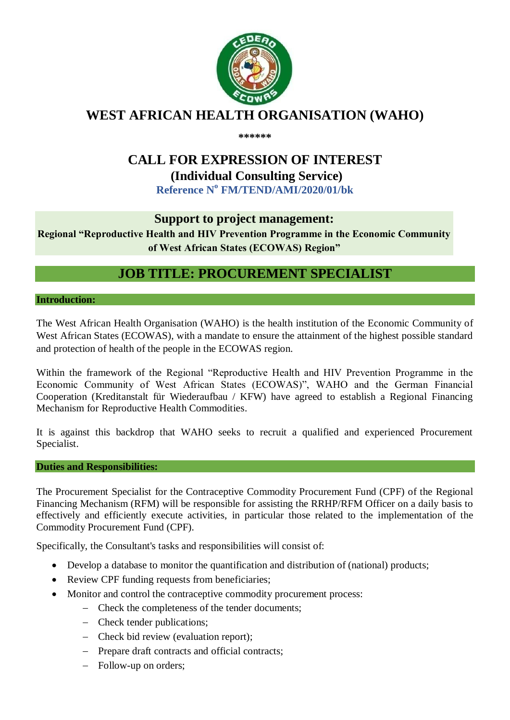

# **WEST AFRICAN HEALTH ORGANISATION (WAHO)**

**\*\*\*\*\*\***

# **CALL FOR EXPRESSION OF INTEREST**

**(Individual Consulting Service)**

**Reference N o FM/TEND/AMI/2020/01/bk**

## **Support to project management:**

**Regional "Reproductive Health and HIV Prevention Programme in the Economic Community of West African States (ECOWAS) Region"**

# **JOB TITLE: PROCUREMENT SPECIALIST**

**Introduction:**

The West African Health Organisation (WAHO) is the health institution of the Economic Community of West African States (ECOWAS), with a mandate to ensure the attainment of the highest possible standard and protection of health of the people in the ECOWAS region.

Within the framework of the Regional "Reproductive Health and HIV Prevention Programme in the Economic Community of West African States (ECOWAS)", WAHO and the German Financial Cooperation (Kreditanstalt für Wiederaufbau / KFW) have agreed to establish a Regional Financing Mechanism for Reproductive Health Commodities.

It is against this backdrop that WAHO seeks to recruit a qualified and experienced Procurement Specialist.

#### **Duties and Responsibilities:**

The Procurement Specialist for the Contraceptive Commodity Procurement Fund (CPF) of the Regional Financing Mechanism (RFM) will be responsible for assisting the RRHP/RFM Officer on a daily basis to effectively and efficiently execute activities, in particular those related to the implementation of the Commodity Procurement Fund (CPF).

Specifically, the Consultant's tasks and responsibilities will consist of:

- Develop a database to monitor the quantification and distribution of (national) products;
- Review CPF funding requests from beneficiaries;
- Monitor and control the contraceptive commodity procurement process:
	- Check the completeness of the tender documents;
	- Check tender publications;
	- Check bid review (evaluation report);
	- Prepare draft contracts and official contracts;
	- Follow-up on orders;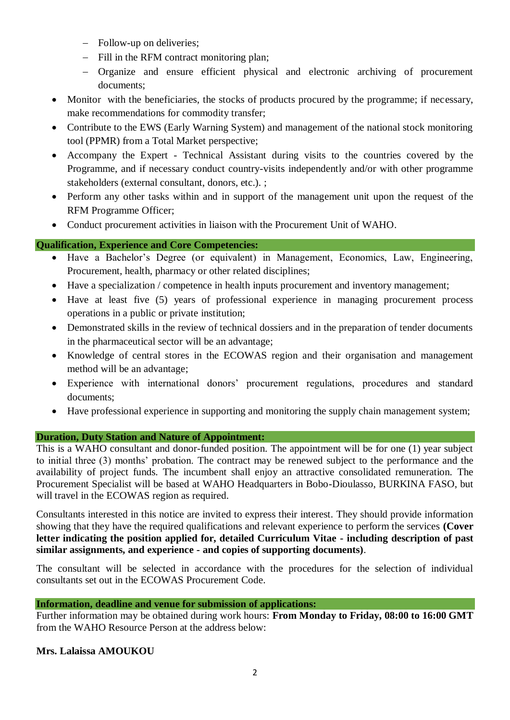- Follow-up on deliveries;
- Fill in the RFM contract monitoring plan:
- Organize and ensure efficient physical and electronic archiving of procurement documents;
- Monitor with the beneficiaries, the stocks of products procured by the programme; if necessary, make recommendations for commodity transfer;
- Contribute to the EWS (Early Warning System) and management of the national stock monitoring tool (PPMR) from a Total Market perspective;
- Accompany the Expert Technical Assistant during visits to the countries covered by the Programme, and if necessary conduct country-visits independently and/or with other programme stakeholders (external consultant, donors, etc.). ;
- Perform any other tasks within and in support of the management unit upon the request of the RFM Programme Officer;
- Conduct procurement activities in liaison with the Procurement Unit of WAHO.

## **Qualification, Experience and Core Competencies:**

- Have a Bachelor's Degree (or equivalent) in Management, Economics, Law, Engineering, Procurement, health, pharmacy or other related disciplines;
- Have a specialization / competence in health inputs procurement and inventory management;
- Have at least five (5) years of professional experience in managing procurement process operations in a public or private institution;
- Demonstrated skills in the review of technical dossiers and in the preparation of tender documents in the pharmaceutical sector will be an advantage;
- Knowledge of central stores in the ECOWAS region and their organisation and management method will be an advantage;
- Experience with international donors' procurement regulations, procedures and standard documents;
- Have professional experience in supporting and monitoring the supply chain management system;

## **Duration, Duty Station and Nature of Appointment:**

This is a WAHO consultant and donor-funded position. The appointment will be for one (1) year subject to initial three (3) months' probation. The contract may be renewed subject to the performance and the availability of project funds. The incumbent shall enjoy an attractive consolidated remuneration. The Procurement Specialist will be based at WAHO Headquarters in Bobo-Dioulasso, BURKINA FASO, but will travel in the ECOWAS region as required.

Consultants interested in this notice are invited to express their interest. They should provide information showing that they have the required qualifications and relevant experience to perform the services **(Cover letter indicating the position applied for, detailed Curriculum Vitae - including description of past similar assignments, and experience - and copies of supporting documents)**.

The consultant will be selected in accordance with the procedures for the selection of individual consultants set out in the ECOWAS Procurement Code.

#### **Information, deadline and venue for submission of applications:**

Further information may be obtained during work hours: **From Monday to Friday, 08:00 to 16:00 GMT**  from the WAHO Resource Person at the address below:

#### **Mrs. Lalaissa AMOUKOU**